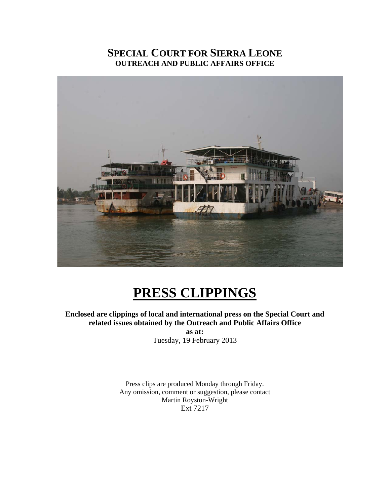## **SPECIAL COURT FOR SIERRA LEONE OUTREACH AND PUBLIC AFFAIRS OFFICE**



# **PRESS CLIPPINGS**

**Enclosed are clippings of local and international press on the Special Court and related issues obtained by the Outreach and Public Affairs Office as at:**  Tuesday, 19 February 2013

> Press clips are produced Monday through Friday. Any omission, comment or suggestion, please contact Martin Royston-Wright Ext 7217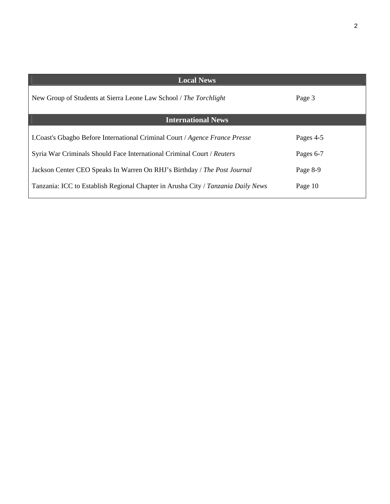| <b>Local News</b>                                                                |           |
|----------------------------------------------------------------------------------|-----------|
| New Group of Students at Sierra Leone Law School / The Torchlight                | Page 3    |
| <b>International News</b>                                                        |           |
|                                                                                  |           |
| I.Coast's Gbagbo Before International Criminal Court / Agence France Presse      | Pages 4-5 |
| Syria War Criminals Should Face International Criminal Court / Reuters           | Pages 6-7 |
|                                                                                  |           |
| Jackson Center CEO Speaks In Warren On RHJ's Birthday / The Post Journal         | Page 8-9  |
| Tanzania: ICC to Establish Regional Chapter in Arusha City / Tanzania Daily News | Page 10   |
|                                                                                  |           |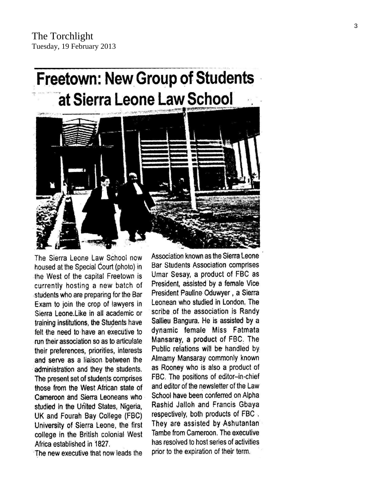# **Freetown: New Group of Students** at Sierra Leone Law School



The Sierra Leone Law School now housed at the Special Court (photo) in the West of the capital Freetown is currently hosting a new batch of students who are preparing for the Bar Exam to join the crop of lawyers in Sierra Leone.Like in all academic or training institutions, the Students have felt the need to have an executive to run their association so as to articulate their preferences, priorities, interests and serve as a liaison between the administration and they the students. The present set of students comprises those from the West African state of Cameroon and Sierra Leoneans who studied in the United States, Nigeria, UK and Fourah Bay College (FBC) University of Sierra Leone, the first college in the British colonial West Africa established in 1827.

The new executive that now leads the

Association known as the Sierra Leone **Bar Students Association comprises** Umar Sesay, a product of FBC as President, assisted by a female Vice President Pauline Oduwyer, a Sierra Leonean who studied in London. The scribe of the association is Randy Sallieu Bangura. He is assisted by a dynamic female Miss Fatmata Mansaray, a product of FBC. The Public relations will be handled by Almamy Mansaray commonly known as Rooney who is also a product of FBC. The positions of editor-in-chief and editor of the newsletter of the Law School have been conferred on Alpha Rashid Jalloh and Francis Gbaya respectively, both products of FBC. They are assisted by Ashutantan Tambe from Cameroon. The executive has resolved to host series of activities prior to the expiration of their term.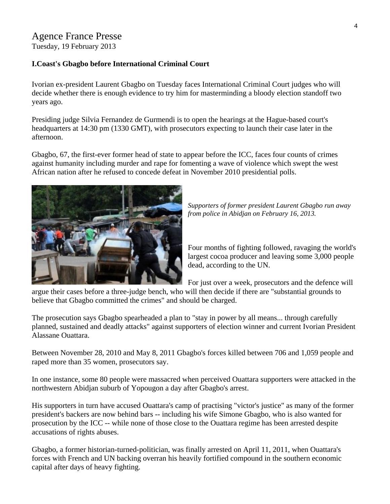## Agence France Presse

Tuesday, 19 February 2013

#### **I.Coast's Gbagbo before International Criminal Court**

Ivorian ex-president Laurent Gbagbo on Tuesday faces International Criminal Court judges who will decide whether there is enough evidence to try him for masterminding a bloody election standoff two years ago.

Presiding judge Silvia Fernandez de Gurmendi is to open the hearings at the Hague-based court's headquarters at 14:30 pm (1330 GMT), with prosecutors expecting to launch their case later in the afternoon.

Gbagbo, 67, the first-ever former head of state to appear before the ICC, faces four counts of crimes against humanity including murder and rape for fomenting a wave of violence which swept the west African nation after he refused to concede defeat in November 2010 presidential polls.



*Supporters of former president Laurent Gbagbo run away from police in Abidjan on February 16, 2013.* 

Four months of fighting followed, ravaging the world's largest cocoa producer and leaving some 3,000 people dead, according to the UN.

For just over a week, prosecutors and the defence will

argue their cases before a three-judge bench, who will then decide if there are "substantial grounds to believe that Gbagbo committed the crimes" and should be charged.

The prosecution says Gbagbo spearheaded a plan to "stay in power by all means... through carefully planned, sustained and deadly attacks" against supporters of election winner and current Ivorian President Alassane Ouattara.

Between November 28, 2010 and May 8, 2011 Gbagbo's forces killed between 706 and 1,059 people and raped more than 35 women, prosecutors say.

In one instance, some 80 people were massacred when perceived Ouattara supporters were attacked in the northwestern Abidjan suburb of Yopougon a day after Gbagbo's arrest.

His supporters in turn have accused Ouattara's camp of practising "victor's justice" as many of the former president's backers are now behind bars -- including his wife Simone Gbagbo, who is also wanted for prosecution by the ICC -- while none of those close to the Ouattara regime has been arrested despite accusations of rights abuses.

Gbagbo, a former historian-turned-politician, was finally arrested on April 11, 2011, when Ouattara's forces with French and UN backing overran his heavily fortified compound in the southern economic capital after days of heavy fighting.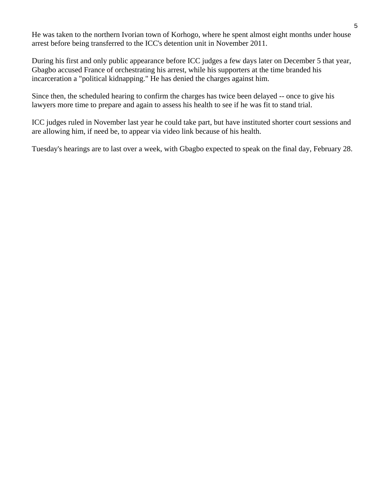He was taken to the northern Ivorian town of Korhogo, where he spent almost eight months under house arrest before being transferred to the ICC's detention unit in November 2011.

During his first and only public appearance before ICC judges a few days later on December 5 that year, Gbagbo accused France of orchestrating his arrest, while his supporters at the time branded his incarceration a "political kidnapping." He has denied the charges against him.

Since then, the scheduled hearing to confirm the charges has twice been delayed -- once to give his lawyers more time to prepare and again to assess his health to see if he was fit to stand trial.

ICC judges ruled in November last year he could take part, but have instituted shorter court sessions and are allowing him, if need be, to appear via video link because of his health.

Tuesday's hearings are to last over a week, with Gbagbo expected to speak on the final day, February 28.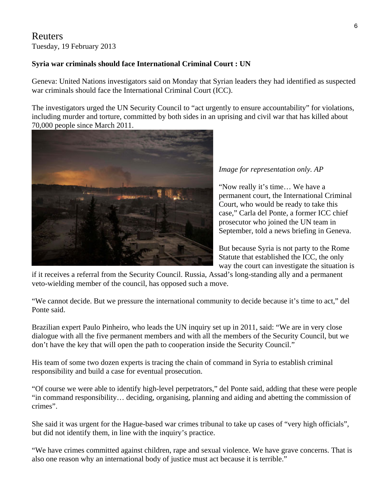### Reuters

Tuesday, 19 February 2013

#### **Syria war criminals should face International Criminal Court : UN**

Geneva: United Nations investigators said on Monday that Syrian leaders they had identified as suspected war criminals should face the International Criminal Court (ICC).

The investigators urged the UN Security Council to "act urgently to ensure accountability" for violations, including murder and torture, committed by both sides in an uprising and civil war that has killed about 70,000 people since March 2011.



#### *Image for representation only. AP*

"Now really it's time… We have a permanent court, the International Criminal Court, who would be ready to take this case," Carla del Ponte, a former ICC chief prosecutor who joined the UN team in September, told a news briefing in Geneva.

But because Syria is not party to the Rome Statute that established the ICC, the only way the court can investigate the situation is

if it receives a referral from the Security Council. Russia, Assad's long-standing ally and a permanent veto-wielding member of the council, has opposed such a move.

"We cannot decide. But we pressure the international community to decide because it's time to act," del Ponte said.

Brazilian expert Paulo Pinheiro, who leads the UN inquiry set up in 2011, said: "We are in very close dialogue with all the five permanent members and with all the members of the Security Council, but we don't have the key that will open the path to cooperation inside the Security Council."

His team of some two dozen experts is tracing the chain of command in Syria to establish criminal responsibility and build a case for eventual prosecution.

"Of course we were able to identify high-level perpetrators," del Ponte said, adding that these were people "in command responsibility… deciding, organising, planning and aiding and abetting the commission of crimes".

She said it was urgent for the Hague-based war crimes tribunal to take up cases of "very high officials", but did not identify them, in line with the inquiry's practice.

"We have crimes committed against children, rape and sexual violence. We have grave concerns. That is also one reason why an international body of justice must act because it is terrible."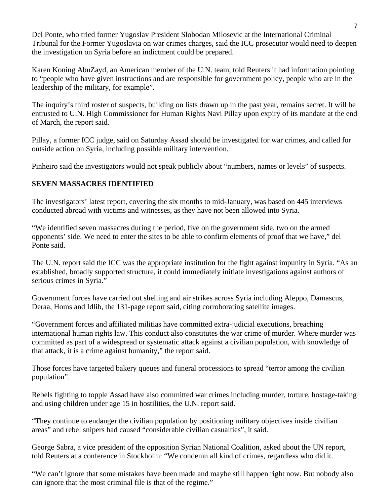Del Ponte, who tried former Yugoslav President Slobodan Milosevic at the International Criminal Tribunal for the Former Yugoslavia on war crimes charges, said the ICC prosecutor would need to deepen the investigation on Syria before an indictment could be prepared.

Karen Koning AbuZayd, an American member of the U.N. team, told Reuters it had information pointing to "people who have given instructions and are responsible for government policy, people who are in the leadership of the military, for example".

The inquiry's third roster of suspects, building on lists drawn up in the past year, remains secret. It will be entrusted to U.N. High Commissioner for Human Rights Navi Pillay upon expiry of its mandate at the end of March, the report said.

Pillay, a former ICC judge, said on Saturday Assad should be investigated for war crimes, and called for outside action on Syria, including possible military intervention.

Pinheiro said the investigators would not speak publicly about "numbers, names or levels" of suspects.

#### **SEVEN MASSACRES IDENTIFIED**

The investigators' latest report, covering the six months to mid-January, was based on 445 interviews conducted abroad with victims and witnesses, as they have not been allowed into Syria.

"We identified seven massacres during the period, five on the government side, two on the armed opponents' side. We need to enter the sites to be able to confirm elements of proof that we have," del Ponte said.

The U.N. report said the ICC was the appropriate institution for the fight against impunity in Syria. "As an established, broadly supported structure, it could immediately initiate investigations against authors of serious crimes in Syria."

Government forces have carried out shelling and air strikes across Syria including Aleppo, Damascus, Deraa, Homs and Idlib, the 131-page report said, citing corroborating satellite images.

"Government forces and affiliated militias have committed extra-judicial executions, breaching international human rights law. This conduct also constitutes the war crime of murder. Where murder was committed as part of a widespread or systematic attack against a civilian population, with knowledge of that attack, it is a crime against humanity," the report said.

Those forces have targeted bakery queues and funeral processions to spread "terror among the civilian population".

Rebels fighting to topple Assad have also committed war crimes including murder, torture, hostage-taking and using children under age 15 in hostilities, the U.N. report said.

"They continue to endanger the civilian population by positioning military objectives inside civilian areas" and rebel snipers had caused "considerable civilian casualties", it said.

George Sabra, a vice president of the opposition Syrian National Coalition, asked about the UN report, told Reuters at a conference in Stockholm: "We condemn all kind of crimes, regardless who did it.

"We can't ignore that some mistakes have been made and maybe still happen right now. But nobody also can ignore that the most criminal file is that of the regime."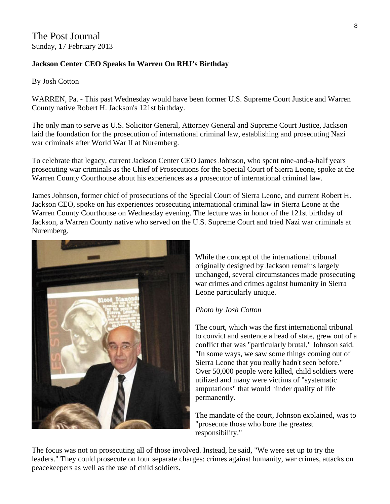#### **Jackson Center CEO Speaks In Warren On RHJ's Birthday**

By Josh Cotton

WARREN, Pa. - This past Wednesday would have been former U.S. Supreme Court Justice and Warren County native Robert H. Jackson's 121st birthday.

The only man to serve as U.S. Solicitor General, Attorney General and Supreme Court Justice, Jackson laid the foundation for the prosecution of international criminal law, establishing and prosecuting Nazi war criminals after World War II at Nuremberg.

To celebrate that legacy, current Jackson Center CEO James Johnson, who spent nine-and-a-half years prosecuting war criminals as the Chief of Prosecutions for the Special Court of Sierra Leone, spoke at the Warren County Courthouse about his experiences as a prosecutor of international criminal law.

James Johnson, former chief of prosecutions of the Special Court of Sierra Leone, and current Robert H. Jackson CEO, spoke on his experiences prosecuting international criminal law in Sierra Leone at the Warren County Courthouse on Wednesday evening. The lecture was in honor of the 121st birthday of Jackson, a Warren County native who served on the U.S. Supreme Court and tried Nazi war criminals at Nuremberg.



While the concept of the international tribunal originally designed by Jackson remains largely unchanged, several circumstances made prosecuting war crimes and crimes against humanity in Sierra Leone particularly unique.

#### *Photo by Josh Cotton*

The court, which was the first international tribunal to convict and sentence a head of state, grew out of a conflict that was "particularly brutal," Johnson said. "In some ways, we saw some things coming out of Sierra Leone that you really hadn't seen before." Over 50,000 people were killed, child soldiers were utilized and many were victims of "systematic amputations" that would hinder quality of life permanently.

The mandate of the court, Johnson explained, was to "prosecute those who bore the greatest responsibility."

The focus was not on prosecuting all of those involved. Instead, he said, "We were set up to try the leaders." They could prosecute on four separate charges: crimes against humanity, war crimes, attacks on peacekeepers as well as the use of child soldiers.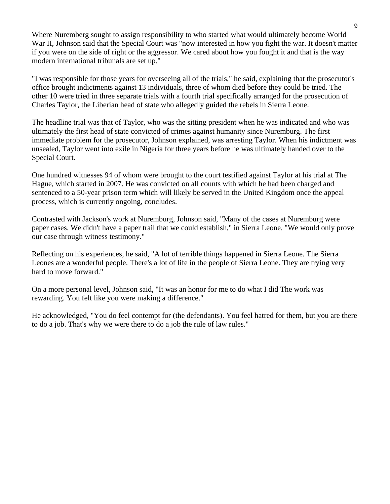Where Nuremberg sought to assign responsibility to who started what would ultimately become World War II, Johnson said that the Special Court was "now interested in how you fight the war. It doesn't matter if you were on the side of right or the aggressor. We cared about how you fought it and that is the way modern international tribunals are set up."

"I was responsible for those years for overseeing all of the trials," he said, explaining that the prosecutor's office brought indictments against 13 individuals, three of whom died before they could be tried. The other 10 were tried in three separate trials with a fourth trial specifically arranged for the prosecution of Charles Taylor, the Liberian head of state who allegedly guided the rebels in Sierra Leone.

The headline trial was that of Taylor, who was the sitting president when he was indicated and who was ultimately the first head of state convicted of crimes against humanity since Nuremburg. The first immediate problem for the prosecutor, Johnson explained, was arresting Taylor. When his indictment was unsealed, Taylor went into exile in Nigeria for three years before he was ultimately handed over to the Special Court.

One hundred witnesses 94 of whom were brought to the court testified against Taylor at his trial at The Hague, which started in 2007. He was convicted on all counts with which he had been charged and sentenced to a 50-year prison term which will likely be served in the United Kingdom once the appeal process, which is currently ongoing, concludes.

Contrasted with Jackson's work at Nuremburg, Johnson said, "Many of the cases at Nuremburg were paper cases. We didn't have a paper trail that we could establish," in Sierra Leone. "We would only prove our case through witness testimony."

Reflecting on his experiences, he said, "A lot of terrible things happened in Sierra Leone. The Sierra Leones are a wonderful people. There's a lot of life in the people of Sierra Leone. They are trying very hard to move forward."

On a more personal level, Johnson said, "It was an honor for me to do what I did The work was rewarding. You felt like you were making a difference."

He acknowledged, "You do feel contempt for (the defendants). You feel hatred for them, but you are there to do a job. That's why we were there to do a job the rule of law rules."